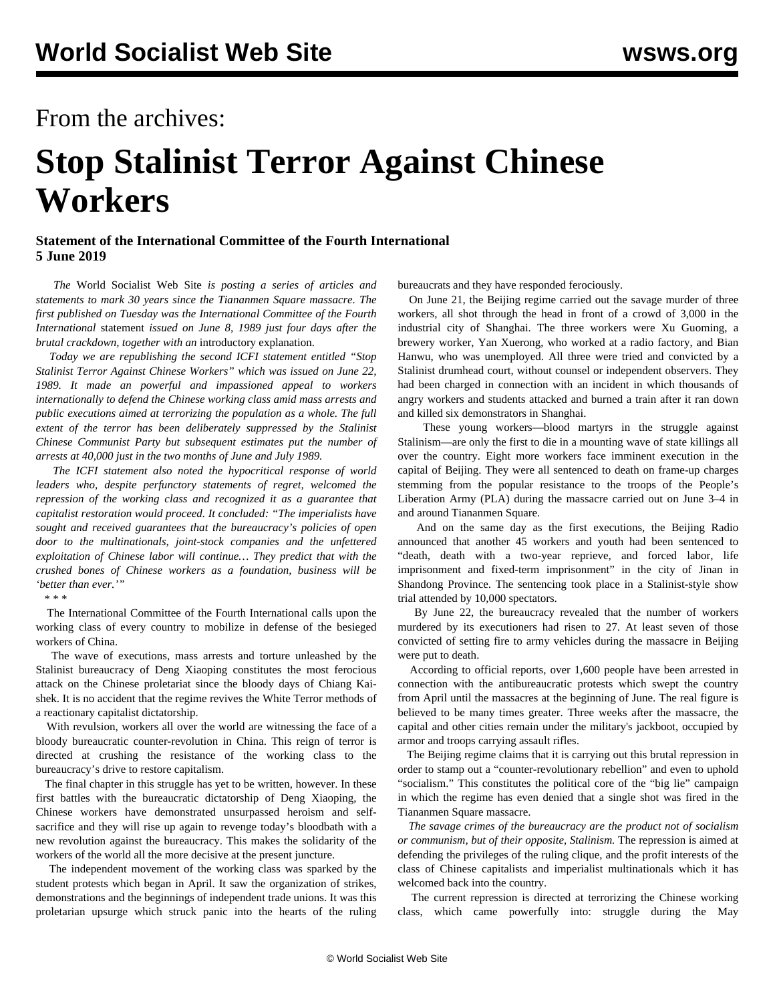## From the archives:

## **Stop Stalinist Terror Against Chinese Workers**

## **Statement of the International Committee of the Fourth International 5 June 2019**

 *The* World Socialist Web Site *is posting a series of articles and statements to mark 30 years since the Tiananmen Square massacre. The first published on Tuesday was the International Committee of the Fourth International* [statement](/en/articles/2019/06/04/tia1-j04.html) *issued on June 8, 1989 just four days after the brutal crackdown, together with an* [introductory explanation](/en/articles/2019/06/04/intr-j04.html)*.*

 *Today we are republishing the second ICFI statement entitled "Stop Stalinist Terror Against Chinese Workers" which was issued on June 22, 1989. It made an powerful and impassioned appeal to workers internationally to defend the Chinese working class amid mass arrests and public executions aimed at terrorizing the population as a whole. The full extent of the terror has been deliberately suppressed by the Stalinist Chinese Communist Party but subsequent estimates put the number of arrests at 40,000 just in the two months of June and July 1989.*

 *The ICFI statement also noted the hypocritical response of world leaders who, despite perfunctory statements of regret, welcomed the repression of the working class and recognized it as a guarantee that capitalist restoration would proceed. It concluded: "The imperialists have sought and received guarantees that the bureaucracy's policies of open door to the multinationals, joint-stock companies and the unfettered exploitation of Chinese labor will continue… They predict that with the crushed bones of Chinese workers as a foundation, business will be 'better than ever.'"*

\* \* \*

 The International Committee of the Fourth International calls upon the working class of every country to mobilize in defense of the besieged workers of China.

 The wave of executions, mass arrests and torture unleashed by the Stalinist bureaucracy of Deng Xiaoping constitutes the most ferocious attack on the Chinese proletariat since the bloody days of Chiang Kaishek. It is no accident that the regime revives the White Terror methods of a reactionary capitalist dictatorship.

 With revulsion, workers all over the world are witnessing the face of a bloody bureaucratic counter-revolution in China. This reign of terror is directed at crushing the resistance of the working class to the bureaucracy's drive to restore capitalism.

 The final chapter in this struggle has yet to be written, however. In these first battles with the bureaucratic dictatorship of Deng Xiaoping, the Chinese workers have demonstrated unsurpassed heroism and selfsacrifice and they will rise up again to revenge today's bloodbath with a new revolution against the bureaucracy. This makes the solidarity of the workers of the world all the more decisive at the present juncture.

 The independent movement of the working class was sparked by the student protests which began in April. It saw the organization of strikes, demonstrations and the beginnings of independent trade unions. It was this proletarian upsurge which struck panic into the hearts of the ruling bureaucrats and they have responded ferociously.

 On June 21, the Beijing regime carried out the savage murder of three workers, all shot through the head in front of a crowd of 3,000 in the industrial city of Shanghai. The three workers were Xu Guoming, a brewery worker, Yan Xuerong, who worked at a radio factory, and Bian Hanwu, who was unemployed. All three were tried and convicted by a Stalinist drumhead court, without counsel or independent observers. They had been charged in connection with an incident in which thousands of angry workers and students attacked and burned a train after it ran down and killed six demonstrators in Shanghai.

 These young workers—blood martyrs in the struggle against Stalinism—are only the first to die in a mounting wave of state killings all over the country. Eight more workers face imminent execution in the capital of Beijing. They were all sentenced to death on frame-up charges stemming from the popular resistance to the troops of the People's Liberation Army (PLA) during the massacre carried out on June 3–4 in and around Tiananmen Square.

 And on the same day as the first executions, the Beijing Radio announced that another 45 workers and youth had been sentenced to "death, death with a two-year reprieve, and forced labor, life imprisonment and fixed-term imprisonment" in the city of Jinan in Shandong Province. The sentencing took place in a Stalinist-style show trial attended by 10,000 spectators.

 By June 22, the bureaucracy revealed that the number of workers murdered by its executioners had risen to 27. At least seven of those convicted of setting fire to army vehicles during the massacre in Beijing were put to death.

 According to official reports, over 1,600 people have been arrested in connection with the antibureaucratic protests which swept the country from April until the massacres at the beginning of June. The real figure is believed to be many times greater. Three weeks after the massacre, the capital and other cities remain under the military's jackboot, occupied by armor and troops carrying assault rifles.

 The Beijing regime claims that it is carrying out this brutal repression in order to stamp out a "counter-revolutionary rebellion" and even to uphold "socialism." This constitutes the political core of the "big lie" campaign in which the regime has even denied that a single shot was fired in the Tiananmen Square massacre.

 *The savage crimes of the bureaucracy are the product not of socialism or communism, but of their opposite, Stalinism.* The repression is aimed at defending the privileges of the ruling clique, and the profit interests of the class of Chinese capitalists and imperialist multinationals which it has welcomed back into the country.

 The current repression is directed at terrorizing the Chinese working class, which came powerfully into: struggle during the May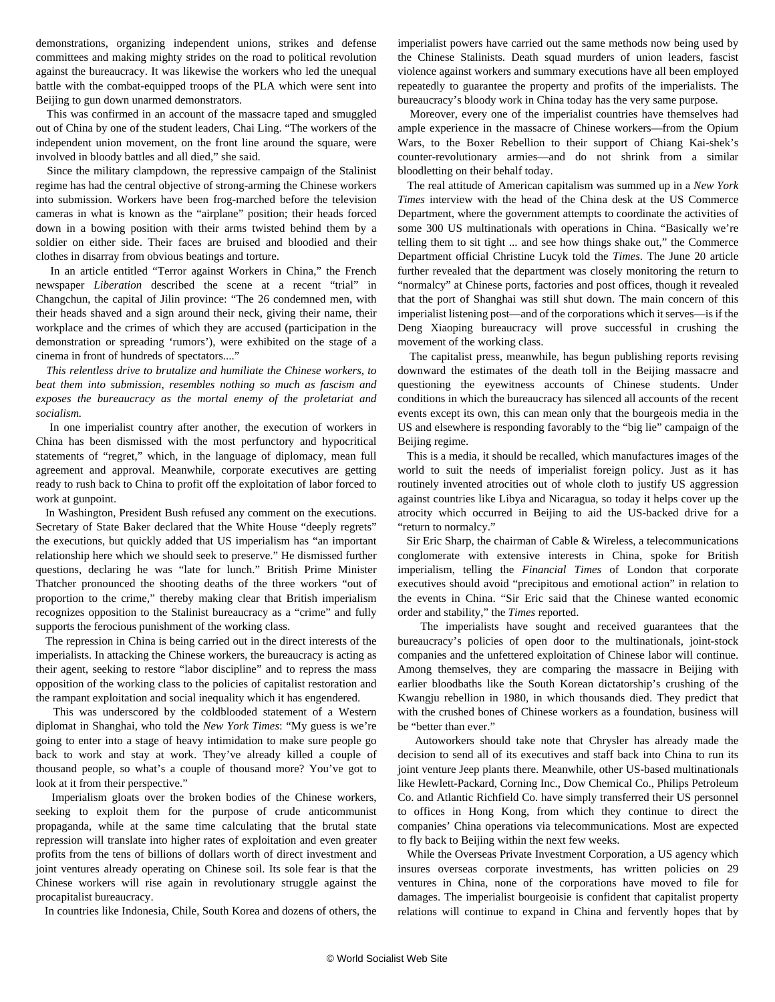demonstrations, organizing independent unions, strikes and defense committees and making mighty strides on the road to political revolution against the bureaucracy. It was likewise the workers who led the unequal battle with the combat-equipped troops of the PLA which were sent into Beijing to gun down unarmed demonstrators.

 This was confirmed in an account of the massacre taped and smuggled out of China by one of the student leaders, Chai Ling. "The workers of the independent union movement, on the front line around the square, were involved in bloody battles and all died," she said.

 Since the military clampdown, the repressive campaign of the Stalinist regime has had the central objective of strong-arming the Chinese workers into submission. Workers have been frog-marched before the television cameras in what is known as the "airplane" position; their heads forced down in a bowing position with their arms twisted behind them by a soldier on either side. Their faces are bruised and bloodied and their clothes in disarray from obvious beatings and torture.

 In an article entitled "Terror against Workers in China," the French newspaper *Liberation* described the scene at a recent "trial" in Changchun, the capital of Jilin province: "The 26 condemned men, with their heads shaved and a sign around their neck, giving their name, their workplace and the crimes of which they are accused (participation in the demonstration or spreading 'rumors'), were exhibited on the stage of a cinema in front of hundreds of spectators...."

 *This relentless drive to brutalize and humiliate the Chinese workers, to beat them into submission, resembles nothing so much as fascism and exposes the bureaucracy as the mortal enemy of the proletariat and socialism.*

 In one imperialist country after another, the execution of workers in China has been dismissed with the most perfunctory and hypocritical statements of "regret," which, in the language of diplomacy, mean full agreement and approval. Meanwhile, corporate executives are getting ready to rush back to China to profit off the exploitation of labor forced to work at gunpoint.

 In Washington, President Bush refused any comment on the executions. Secretary of State Baker declared that the White House "deeply regrets" the executions, but quickly added that US imperialism has "an important relationship here which we should seek to preserve." He dismissed further questions, declaring he was "late for lunch." British Prime Minister Thatcher pronounced the shooting deaths of the three workers "out of proportion to the crime," thereby making clear that British imperialism recognizes opposition to the Stalinist bureaucracy as a "crime" and fully supports the ferocious punishment of the working class.

 The repression in China is being carried out in the direct interests of the imperialists. In attacking the Chinese workers, the bureaucracy is acting as their agent, seeking to restore "labor discipline" and to repress the mass opposition of the working class to the policies of capitalist restoration and the rampant exploitation and social inequality which it has engendered.

 This was underscored by the coldblooded statement of a Western diplomat in Shanghai, who told the *New York Times*: "My guess is we're going to enter into a stage of heavy intimidation to make sure people go back to work and stay at work. They've already killed a couple of thousand people, so what's a couple of thousand more? You've got to look at it from their perspective."

 Imperialism gloats over the broken bodies of the Chinese workers, seeking to exploit them for the purpose of crude anticommunist propaganda, while at the same time calculating that the brutal state repression will translate into higher rates of exploitation and even greater profits from the tens of billions of dollars worth of direct investment and joint ventures already operating on Chinese soil. Its sole fear is that the Chinese workers will rise again in revolutionary struggle against the procapitalist bureaucracy.

In countries like Indonesia, Chile, South Korea and dozens of others, the

imperialist powers have carried out the same methods now being used by the Chinese Stalinists. Death squad murders of union leaders, fascist violence against workers and summary executions have all been employed repeatedly to guarantee the property and profits of the imperialists. The bureaucracy's bloody work in China today has the very same purpose.

 Moreover, every one of the imperialist countries have themselves had ample experience in the massacre of Chinese workers—from the Opium Wars, to the Boxer Rebellion to their support of Chiang Kai-shek's counter-revolutionary armies—and do not shrink from a similar bloodletting on their behalf today.

 The real attitude of American capitalism was summed up in a *New York Times* interview with the head of the China desk at the US Commerce Department, where the government attempts to coordinate the activities of some 300 US multinationals with operations in China. "Basically we're telling them to sit tight ... and see how things shake out," the Commerce Department official Christine Lucyk told the *Times*. The June 20 article further revealed that the department was closely monitoring the return to "normalcy" at Chinese ports, factories and post offices, though it revealed that the port of Shanghai was still shut down. The main concern of this imperialist listening post—and of the corporations which it serves—is if the Deng Xiaoping bureaucracy will prove successful in crushing the movement of the working class.

 The capitalist press, meanwhile, has begun publishing reports revising downward the estimates of the death toll in the Beijing massacre and questioning the eyewitness accounts of Chinese students. Under conditions in which the bureaucracy has silenced all accounts of the recent events except its own, this can mean only that the bourgeois media in the US and elsewhere is responding favorably to the "big lie" campaign of the Beijing regime.

 This is a media, it should be recalled, which manufactures images of the world to suit the needs of imperialist foreign policy. Just as it has routinely invented atrocities out of whole cloth to justify US aggression against countries like Libya and Nicaragua, so today it helps cover up the atrocity which occurred in Beijing to aid the US-backed drive for a "return to normalcy."

 Sir Eric Sharp, the chairman of Cable & Wireless, a telecommunications conglomerate with extensive interests in China, spoke for British imperialism, telling the *Financial Times* of London that corporate executives should avoid "precipitous and emotional action" in relation to the events in China. "Sir Eric said that the Chinese wanted economic order and stability," the *Times* reported.

 The imperialists have sought and received guarantees that the bureaucracy's policies of open door to the multinationals, joint-stock companies and the unfettered exploitation of Chinese labor will continue. Among themselves, they are comparing the massacre in Beijing with earlier bloodbaths like the South Korean dictatorship's crushing of the Kwangju rebellion in 1980, in which thousands died. They predict that with the crushed bones of Chinese workers as a foundation, business will be "better than ever."

 Autoworkers should take note that Chrysler has already made the decision to send all of its executives and staff back into China to run its joint venture Jeep plants there. Meanwhile, other US-based multinationals like Hewlett-Packard, Corning Inc., Dow Chemical Co., Philips Petroleum Co. and Atlantic Richfield Co. have simply transferred their US personnel to offices in Hong Kong, from which they continue to direct the companies' China operations via telecommunications. Most are expected to fly back to Beijing within the next few weeks.

 While the Overseas Private Investment Corporation, a US agency which insures overseas corporate investments, has written policies on 29 ventures in China, none of the corporations have moved to file for damages. The imperialist bourgeoisie is confident that capitalist property relations will continue to expand in China and fervently hopes that by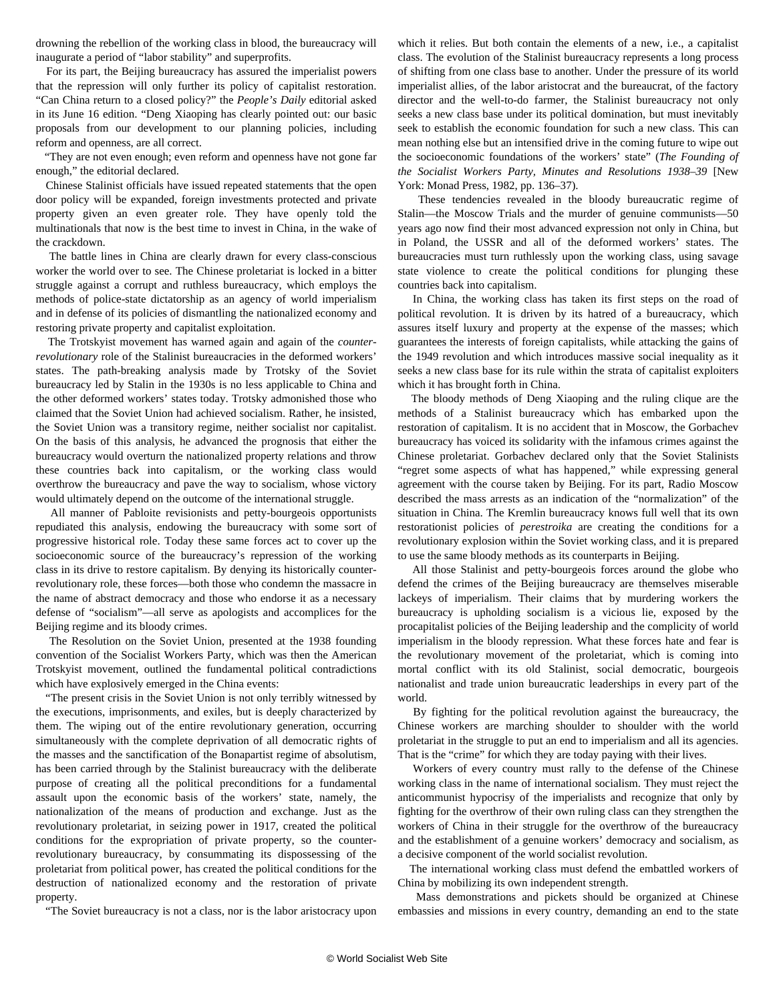drowning the rebellion of the working class in blood, the bureaucracy will inaugurate a period of "labor stability" and superprofits.

 For its part, the Beijing bureaucracy has assured the imperialist powers that the repression will only further its policy of capitalist restoration. "Can China return to a closed policy?" the *People's Daily* editorial asked in its June 16 edition. "Deng Xiaoping has clearly pointed out: our basic proposals from our development to our planning policies, including reform and openness, are all correct.

 "They are not even enough; even reform and openness have not gone far enough," the editorial declared.

 Chinese Stalinist officials have issued repeated statements that the open door policy will be expanded, foreign investments protected and private property given an even greater role. They have openly told the multinationals that now is the best time to invest in China, in the wake of the crackdown.

 The battle lines in China are clearly drawn for every class-conscious worker the world over to see. The Chinese proletariat is locked in a bitter struggle against a corrupt and ruthless bureaucracy, which employs the methods of police-state dictatorship as an agency of world imperialism and in defense of its policies of dismantling the nationalized economy and restoring private property and capitalist exploitation.

 The Trotskyist movement has warned again and again of the *counterrevolutionary* role of the Stalinist bureaucracies in the deformed workers' states. The path-breaking analysis made by Trotsky of the Soviet bureaucracy led by Stalin in the 1930s is no less applicable to China and the other deformed workers' states today. Trotsky admonished those who claimed that the Soviet Union had achieved socialism. Rather, he insisted, the Soviet Union was a transitory regime, neither socialist nor capitalist. On the basis of this analysis, he advanced the prognosis that either the bureaucracy would overturn the nationalized property relations and throw these countries back into capitalism, or the working class would overthrow the bureaucracy and pave the way to socialism, whose victory would ultimately depend on the outcome of the international struggle.

 All manner of Pabloite revisionists and petty-bourgeois opportunists repudiated this analysis, endowing the bureaucracy with some sort of progressive historical role. Today these same forces act to cover up the socioeconomic source of the bureaucracy's repression of the working class in its drive to restore capitalism. By denying its historically counterrevolutionary role, these forces—both those who condemn the massacre in the name of abstract democracy and those who endorse it as a necessary defense of "socialism"—all serve as apologists and accomplices for the Beijing regime and its bloody crimes.

 The Resolution on the Soviet Union, presented at the 1938 founding convention of the Socialist Workers Party, which was then the American Trotskyist movement, outlined the fundamental political contradictions which have explosively emerged in the China events:

 "The present crisis in the Soviet Union is not only terribly witnessed by the executions, imprisonments, and exiles, but is deeply characterized by them. The wiping out of the entire revolutionary generation, occurring simultaneously with the complete deprivation of all democratic rights of the masses and the sanctification of the Bonapartist regime of absolutism, has been carried through by the Stalinist bureaucracy with the deliberate purpose of creating all the political preconditions for a fundamental assault upon the economic basis of the workers' state, namely, the nationalization of the means of production and exchange. Just as the revolutionary proletariat, in seizing power in 1917, created the political conditions for the expropriation of private property, so the counterrevolutionary bureaucracy, by consummating its dispossessing of the proletariat from political power, has created the political conditions for the destruction of nationalized economy and the restoration of private property.

"The Soviet bureaucracy is not a class, nor is the labor aristocracy upon

which it relies. But both contain the elements of a new, i.e., a capitalist class. The evolution of the Stalinist bureaucracy represents a long process of shifting from one class base to another. Under the pressure of its world imperialist allies, of the labor aristocrat and the bureaucrat, of the factory director and the well-to-do farmer, the Stalinist bureaucracy not only seeks a new class base under its political domination, but must inevitably seek to establish the economic foundation for such a new class. This can mean nothing else but an intensified drive in the coming future to wipe out the socioeconomic foundations of the workers' state" (*The Founding of the Socialist Workers Party, Minutes and Resolutions 1938–39* [New York: Monad Press, 1982, pp. 136–37).

 These tendencies revealed in the bloody bureaucratic regime of Stalin—the Moscow Trials and the murder of genuine communists—50 years ago now find their most advanced expression not only in China, but in Poland, the USSR and all of the deformed workers' states. The bureaucracies must turn ruthlessly upon the working class, using savage state violence to create the political conditions for plunging these countries back into capitalism.

 In China, the working class has taken its first steps on the road of political revolution. It is driven by its hatred of a bureaucracy, which assures itself luxury and property at the expense of the masses; which guarantees the interests of foreign capitalists, while attacking the gains of the 1949 revolution and which introduces massive social inequality as it seeks a new class base for its rule within the strata of capitalist exploiters which it has brought forth in China.

 The bloody methods of Deng Xiaoping and the ruling clique are the methods of a Stalinist bureaucracy which has embarked upon the restoration of capitalism. It is no accident that in Moscow, the Gorbachev bureaucracy has voiced its solidarity with the infamous crimes against the Chinese proletariat. Gorbachev declared only that the Soviet Stalinists "regret some aspects of what has happened," while expressing general agreement with the course taken by Beijing. For its part, Radio Moscow described the mass arrests as an indication of the "normalization" of the situation in China. The Kremlin bureaucracy knows full well that its own restorationist policies of *perestroika* are creating the conditions for a revolutionary explosion within the Soviet working class, and it is prepared to use the same bloody methods as its counterparts in Beijing.

 All those Stalinist and petty-bourgeois forces around the globe who defend the crimes of the Beijing bureaucracy are themselves miserable lackeys of imperialism. Their claims that by murdering workers the bureaucracy is upholding socialism is a vicious lie, exposed by the procapitalist policies of the Beijing leadership and the complicity of world imperialism in the bloody repression. What these forces hate and fear is the revolutionary movement of the proletariat, which is coming into mortal conflict with its old Stalinist, social democratic, bourgeois nationalist and trade union bureaucratic leaderships in every part of the world.

 By fighting for the political revolution against the bureaucracy, the Chinese workers are marching shoulder to shoulder with the world proletariat in the struggle to put an end to imperialism and all its agencies. That is the "crime" for which they are today paying with their lives.

 Workers of every country must rally to the defense of the Chinese working class in the name of international socialism. They must reject the anticommunist hypocrisy of the imperialists and recognize that only by fighting for the overthrow of their own ruling class can they strengthen the workers of China in their struggle for the overthrow of the bureaucracy and the establishment of a genuine workers' democracy and socialism, as a decisive component of the world socialist revolution.

 The international working class must defend the embattled workers of China by mobilizing its own independent strength.

 Mass demonstrations and pickets should be organized at Chinese embassies and missions in every country, demanding an end to the state